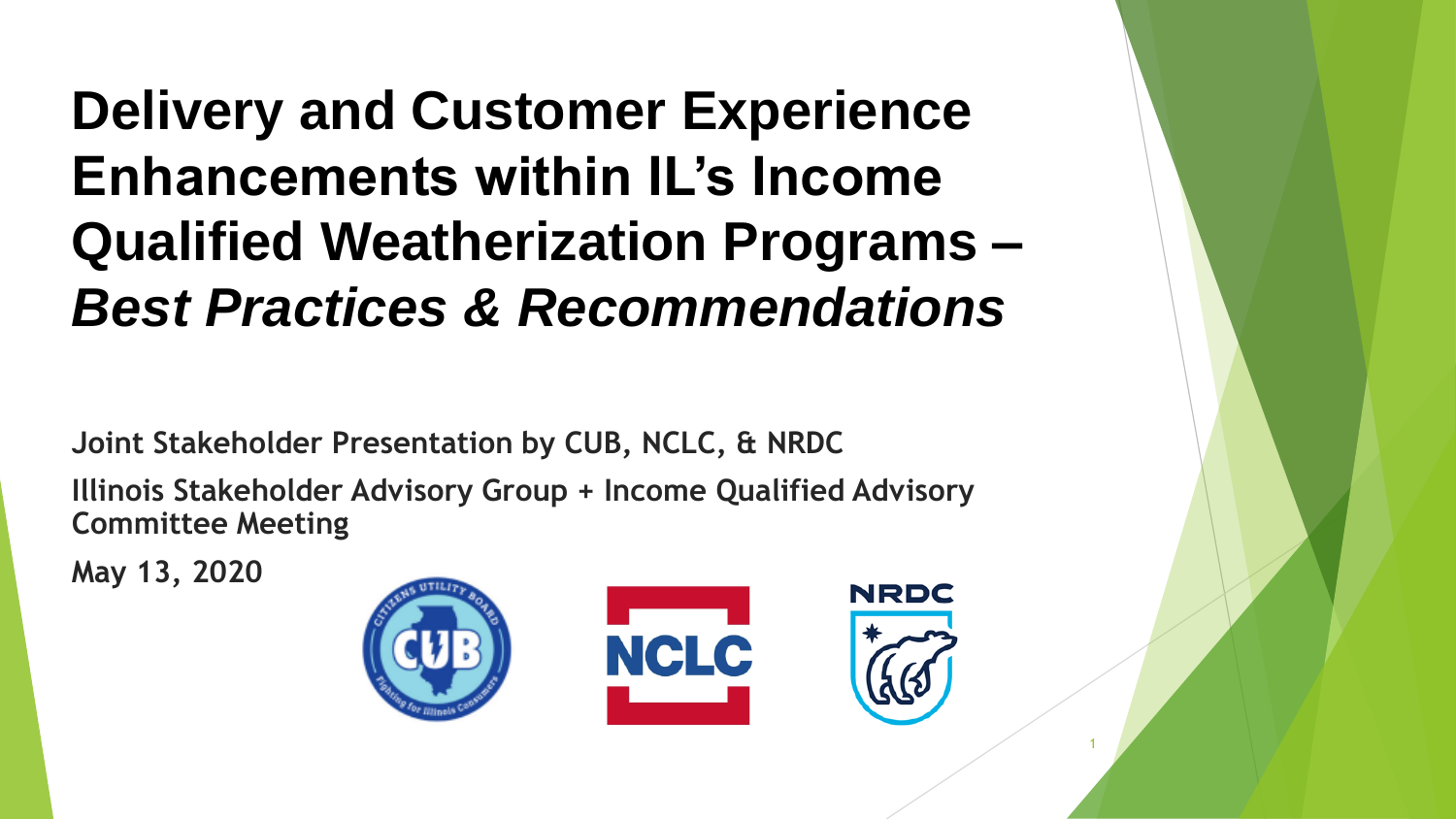**Delivery and Customer Experience Enhancements within IL's Income Qualified Weatherization Programs –** *Best Practices & Recommendations* 

**Joint Stakeholder Presentation by CUB, NCLC, & NRDC** 

**Illinois Stakeholder Advisory Group + Income Qualified Advisory Committee Meeting** 

**May 13, 2020**



1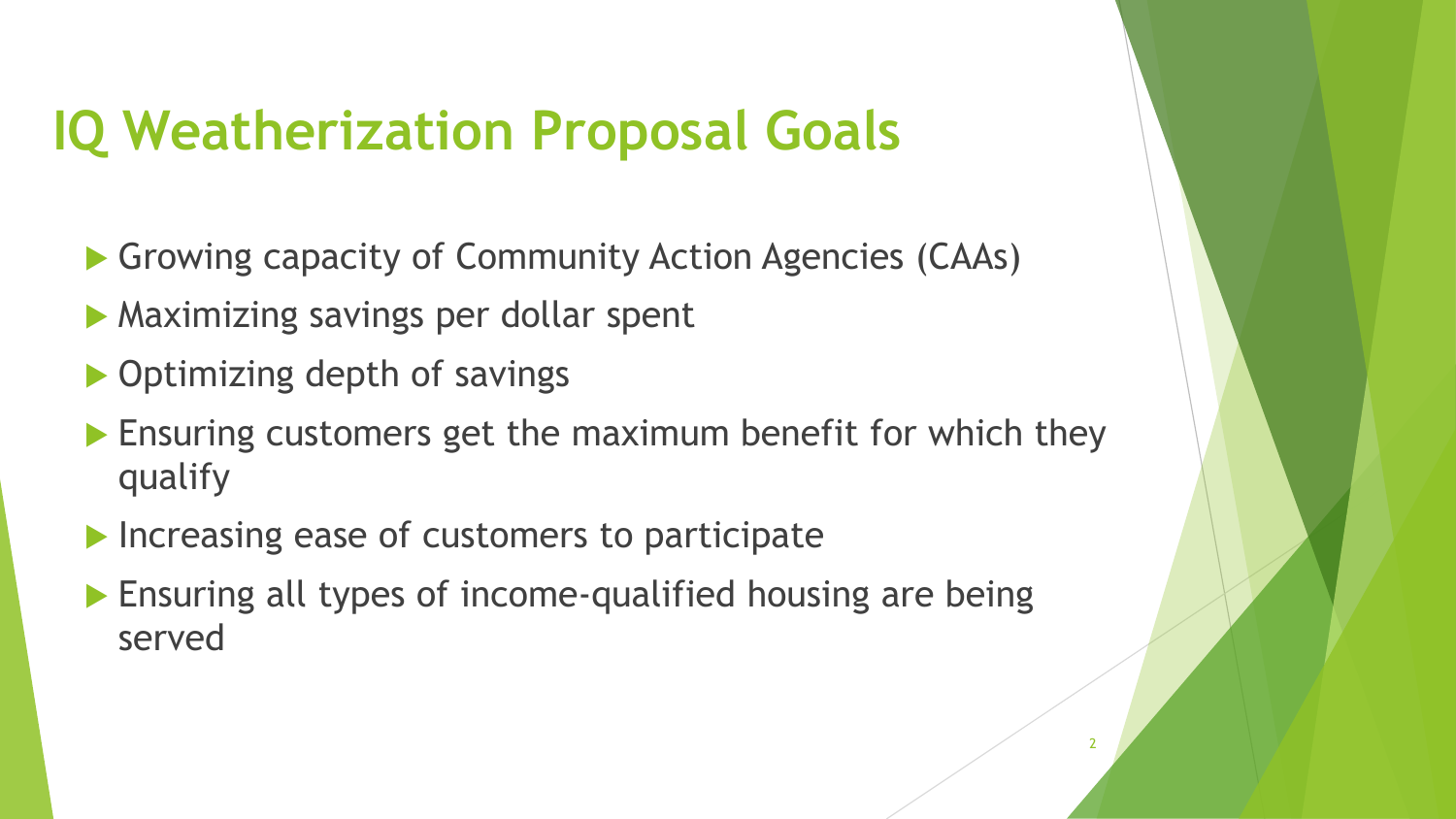#### **IQ Weatherization Proposal Goals**

- Growing capacity of Community Action Agencies (CAAs)
- **Maximizing savings per dollar spent**
- ▶ Optimizing depth of savings
- **Ensuring customers get the maximum benefit for which they** qualify
- Increasing ease of customers to participate
- **Ensuring all types of income-qualified housing are being** served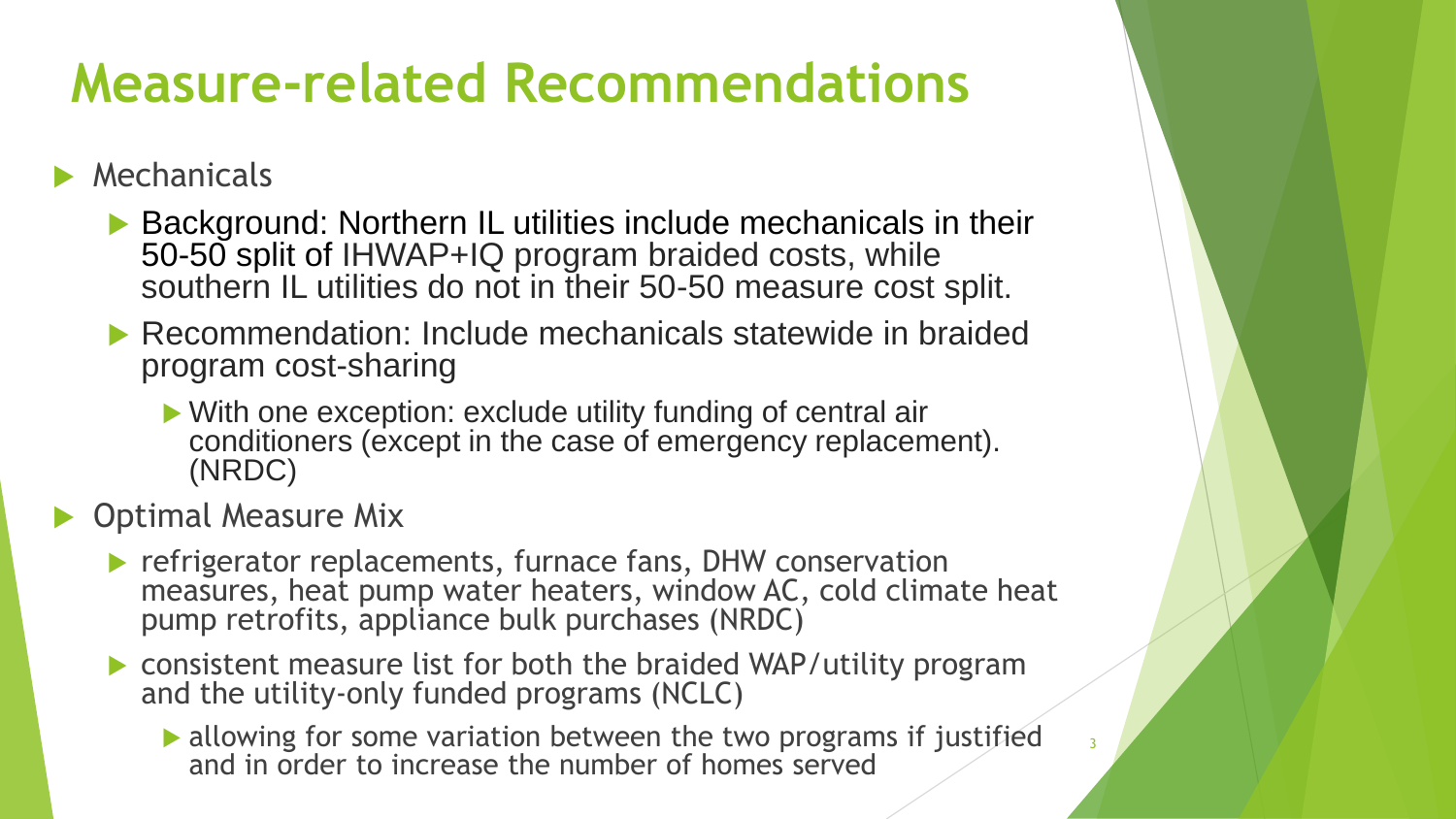## **Measure-related Recommendations**

#### **Mechanicals**

- ▶ Background: Northern IL utilities include mechanicals in their 50-50 split of IHWAP+IQ program braided costs, while southern IL utilities do not in their 50-50 measure cost split.
- ▶ Recommendation: Include mechanicals statewide in braided program cost-sharing
	- With one exception: exclude utility funding of central air conditioners (except in the case of emergency replacement). (NRDC)

**D** Optimal Measure Mix

- **Perative replacements, furnace fans, DHW conservation** measures, heat pump water heaters, window AC, cold climate heat pump retrofits, appliance bulk purchases (NRDC)
- consistent measure list for both the braided WAP/utility program and the utility-only funded programs (NCLC)
	- allowing for some variation between the two programs if justified and in order to increase the number of homes served

3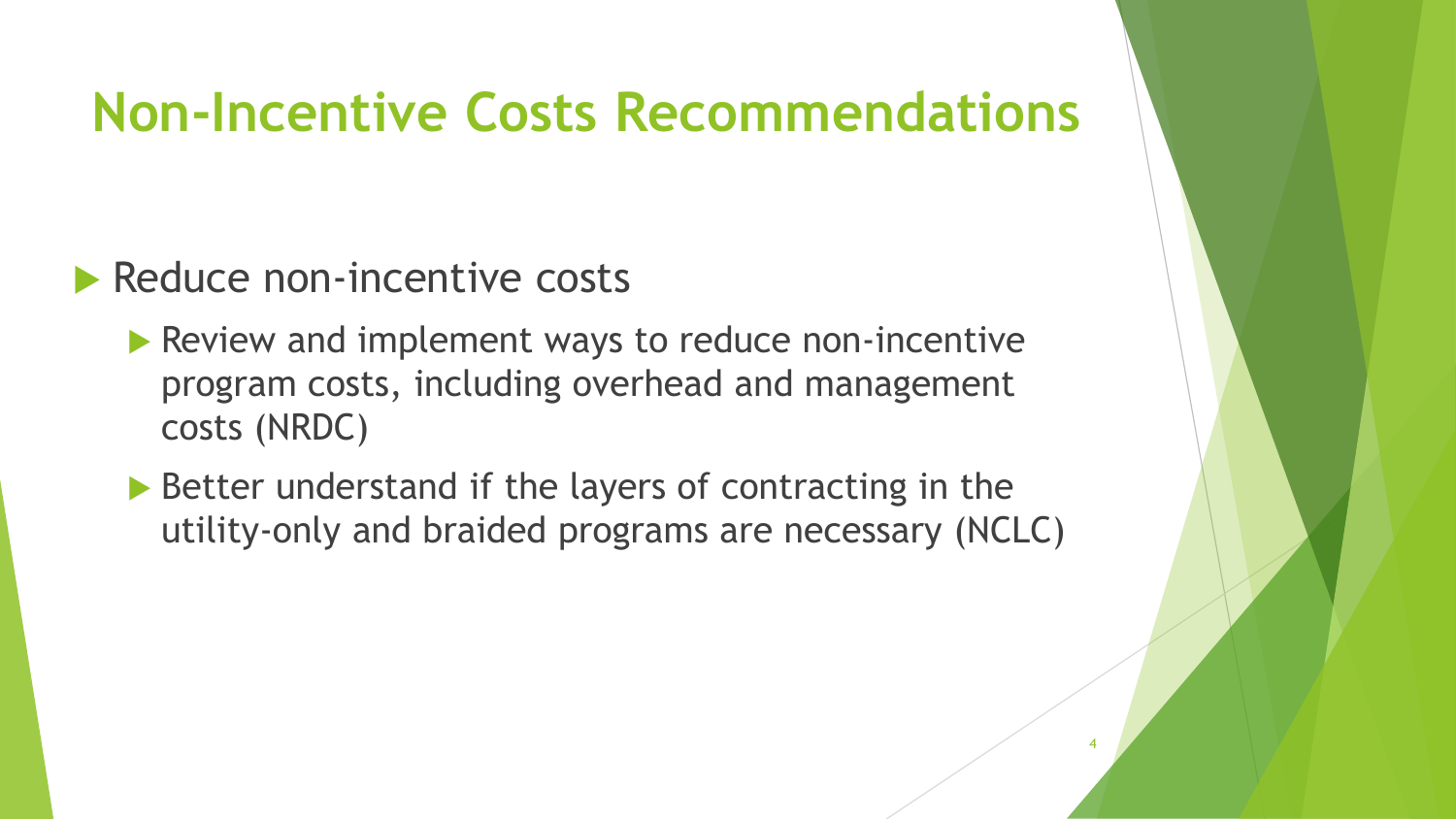#### **Non-Incentive Costs Recommendations**

#### **Reduce non-incentive costs**

- **Review and implement ways to reduce non-incentive** program costs, including overhead and management costs (NRDC)
- ▶ Better understand if the layers of contracting in the utility-only and braided programs are necessary (NCLC)

4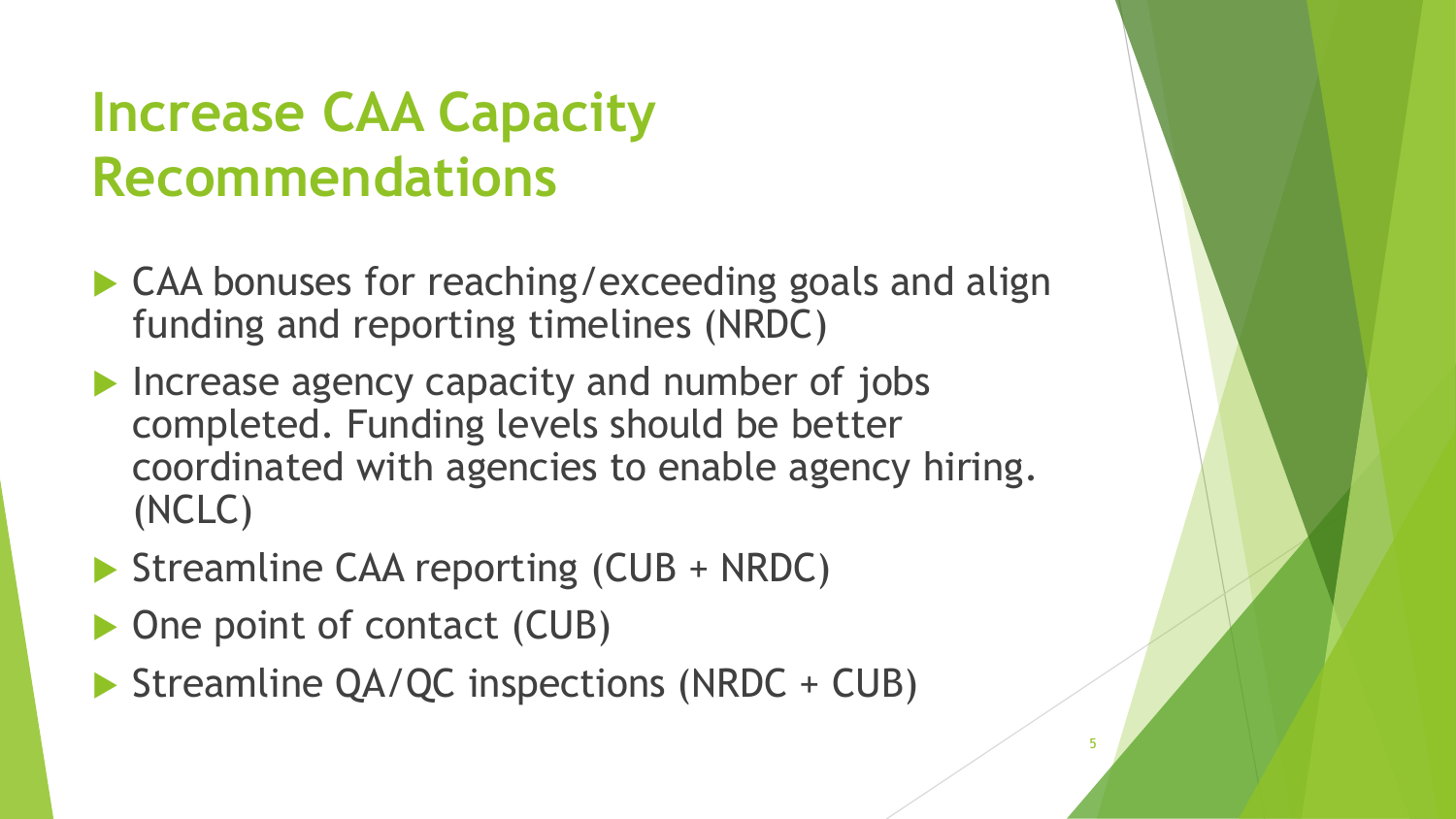## **Increase CAA Capacity Recommendations**

- ▶ CAA bonuses for reaching/exceeding goals and align funding and reporting timelines (NRDC)
- Increase agency capacity and number of jobs completed. Funding levels should be better coordinated with agencies to enable agency hiring. (NCLC)
- Streamline CAA reporting (CUB + NRDC)
- ▶ One point of contact (CUB)
- Streamline QA/QC inspections (NRDC + CUB)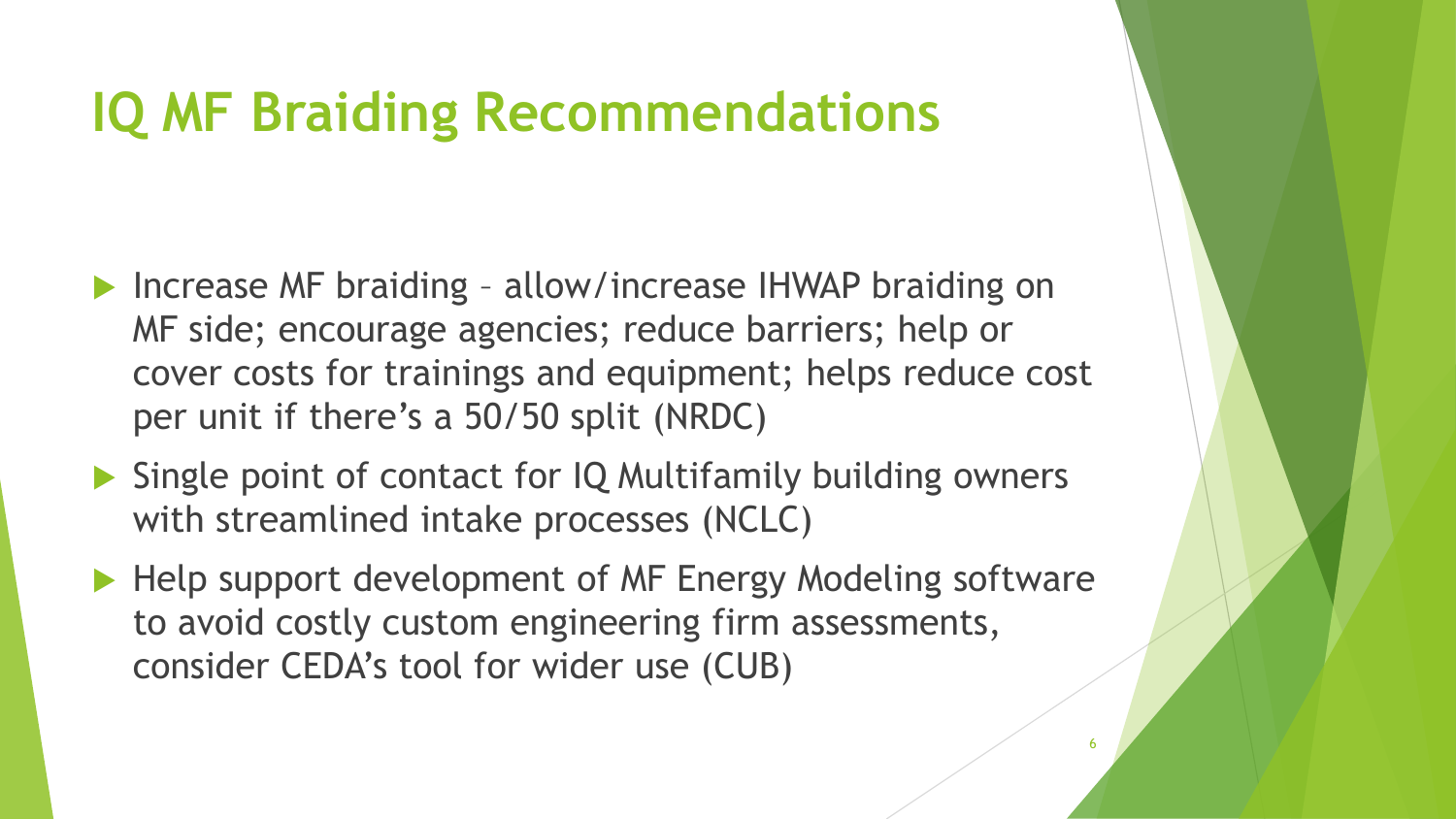### **IQ MF Braiding Recommendations**

- ▶ Increase MF braiding allow/increase IHWAP braiding on MF side; encourage agencies; reduce barriers; help or cover costs for trainings and equipment; helps reduce cost per unit if there's a 50/50 split (NRDC)
- ▶ Single point of contact for IQ Multifamily building owners with streamlined intake processes (NCLC)
- Help support development of MF Energy Modeling software to avoid costly custom engineering firm assessments, consider CEDA's tool for wider use (CUB)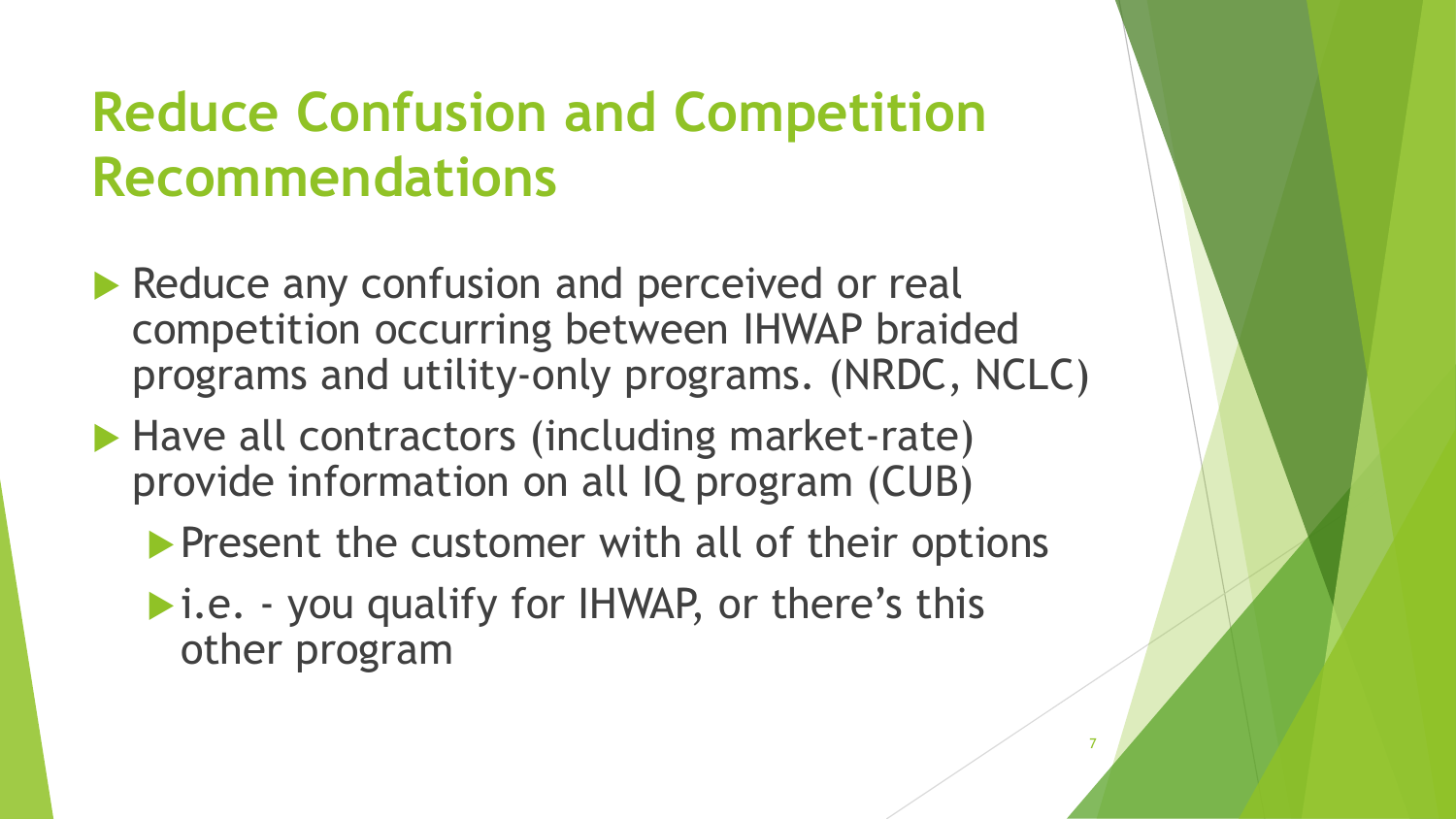## **Reduce Confusion and Competition Recommendations**

- Reduce any confusion and perceived or real competition occurring between IHWAP braided programs and utility-only programs. (NRDC, NCLC)
- ▶ Have all contractors (including market-rate) provide information on all IQ program (CUB)
	- **Present the customer with all of their options**

7

▶ i.e. - you qualify for IHWAP, or there's this other program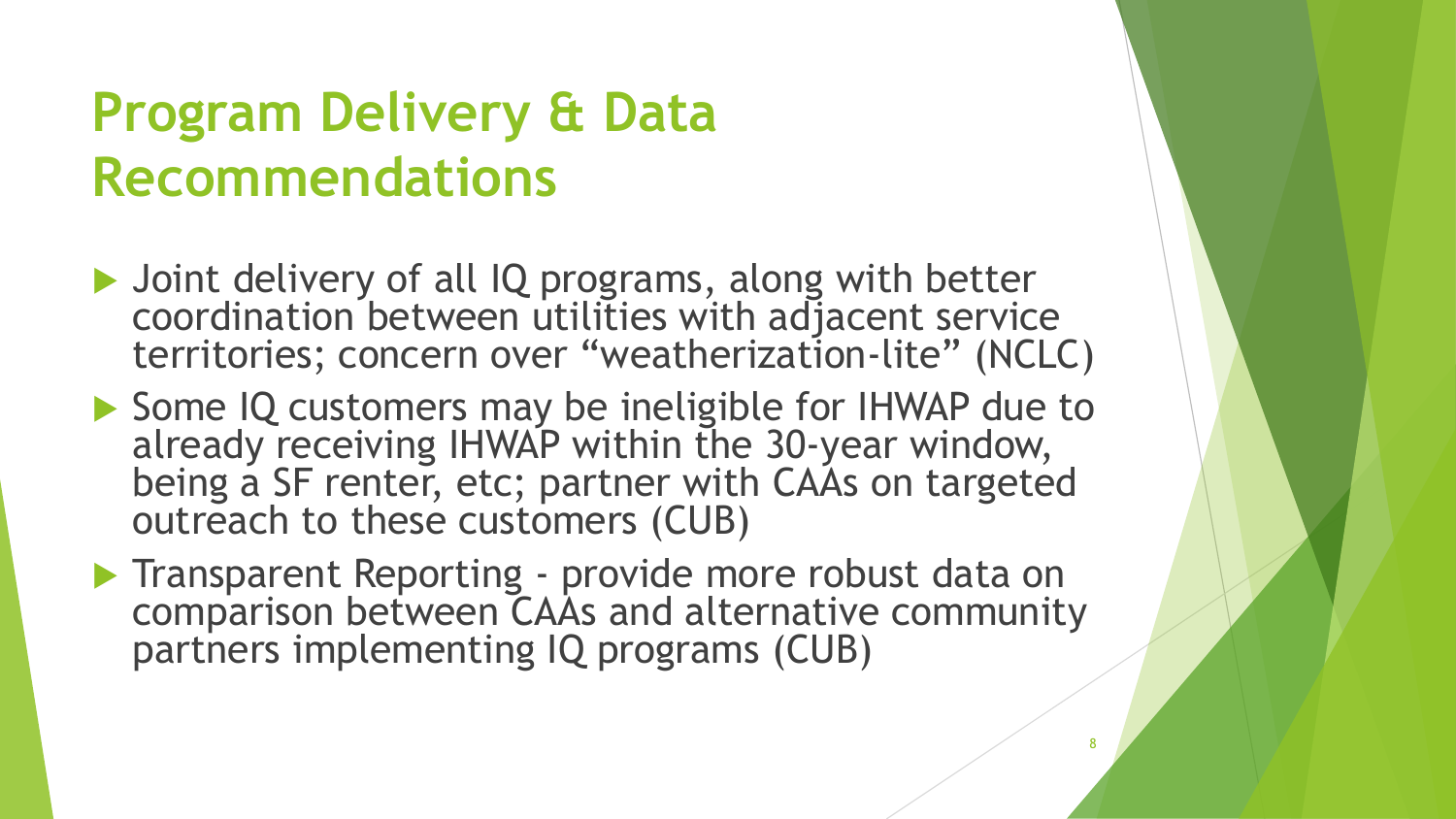## **Program Delivery & Data Recommendations**

- ▶ Joint delivery of all IQ programs, along with better coordination between utilities with adjacent service territories; concern over "weatherization-lite" (NCLC)
- ▶ Some IQ customers may be ineligible for IHWAP due to already receiving IHWAP within the 30-year window, being a SF renter, etc; partner with CAAs on targeted outreach to these customers (CUB)
- **Transparent Reporting provide more robust data on** comparison between CAAs and alternative community partners implementing IQ programs (CUB)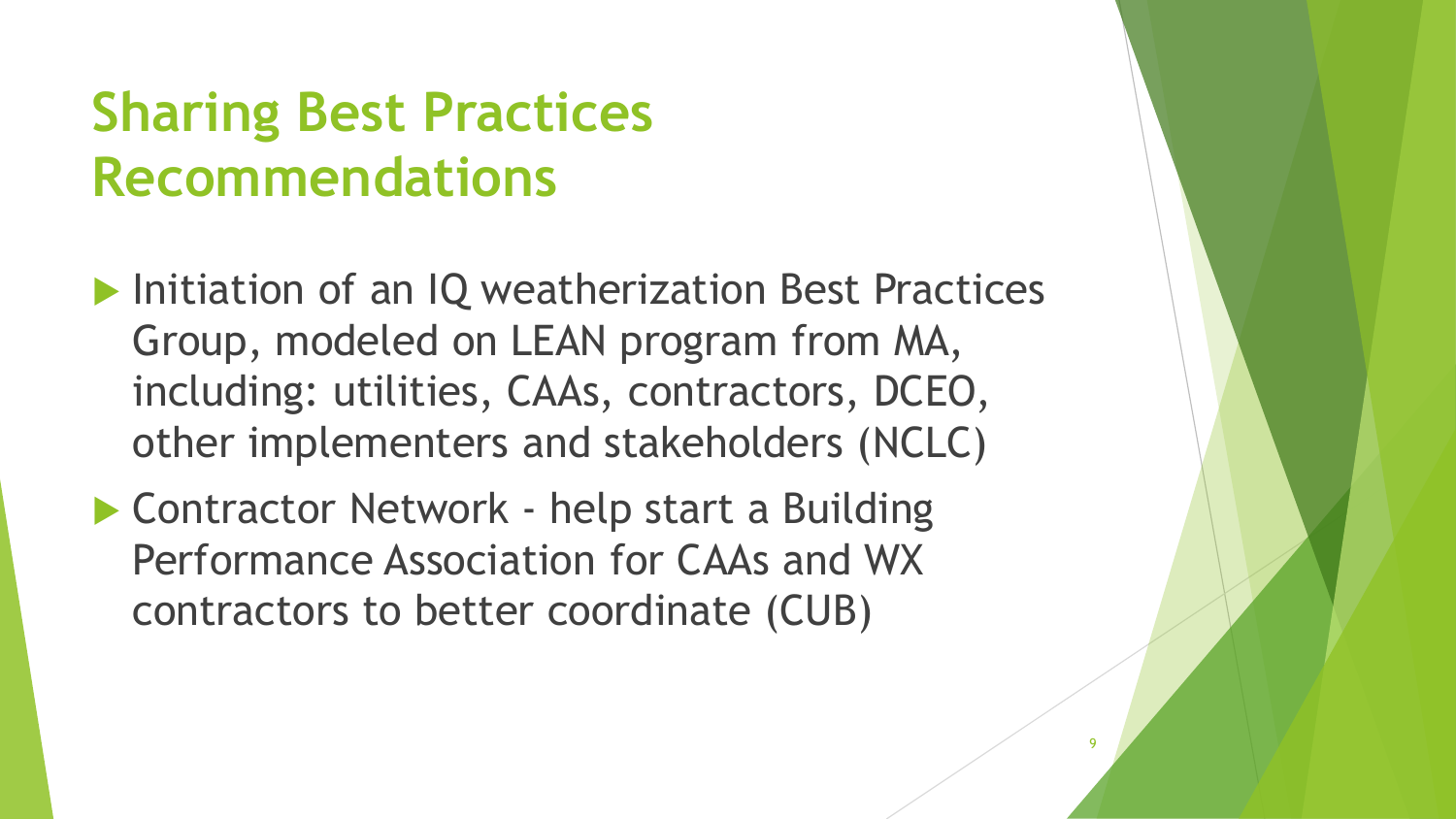## **Sharing Best Practices Recommendations**

**Initiation of an IQ weatherization Best Practices** Group, modeled on LEAN program from MA, including: utilities, CAAs, contractors, DCEO, other implementers and stakeholders (NCLC)

9

▶ Contractor Network - help start a Building Performance Association for CAAs and WX contractors to better coordinate (CUB)